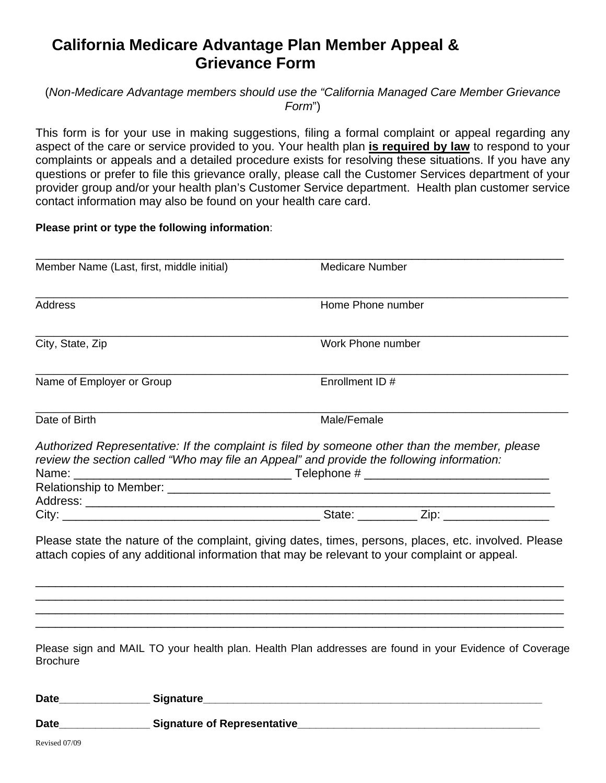# **California Medicare Advantage Plan Member Appeal & Grievance Form**

## (*Non-Medicare Advantage members should use the "California Managed Care Member Grievance Form*")

This form is for your use in making suggestions, filing a formal complaint or appeal regarding any aspect of the care or service provided to you. Your health plan **is required by law** to respond to your complaints or appeals and a detailed procedure exists for resolving these situations. If you have any questions or prefer to file this grievance orally, please call the Customer Services department of your provider group and/or your health plan's Customer Service department. Health plan customer service contact information may also be found on your health care card.

#### **Please print or type the following information**:

| Member Name (Last, first, middle initial)                                                                                                                                                                                      | <b>Medicare Number</b>                                                                                 |
|--------------------------------------------------------------------------------------------------------------------------------------------------------------------------------------------------------------------------------|--------------------------------------------------------------------------------------------------------|
| <b>Address</b>                                                                                                                                                                                                                 | Home Phone number                                                                                      |
| City, State, Zip                                                                                                                                                                                                               | Work Phone number                                                                                      |
| Name of Employer or Group                                                                                                                                                                                                      | Enrollment ID #                                                                                        |
| Date of Birth                                                                                                                                                                                                                  | Male/Female                                                                                            |
| review the section called "Who may file an Appeal" and provide the following information:                                                                                                                                      | Authorized Representative: If the complaint is filed by someone other than the member, please          |
|                                                                                                                                                                                                                                |                                                                                                        |
| attach copies of any additional information that may be relevant to your complaint or appeal.                                                                                                                                  | Please state the nature of the complaint, giving dates, times, persons, places, etc. involved. Please  |
| <b>Brochure</b>                                                                                                                                                                                                                | Please sign and MAIL TO your health plan. Health Plan addresses are found in your Evidence of Coverage |
| Date Signature Signature Signature Signature Signature Signature Signature Signature Signature Signature Signature Signature Signature Signature Signature Signature Signature Signature Signature Signature Signature Signatu |                                                                                                        |

Date **Date** Signature of Representative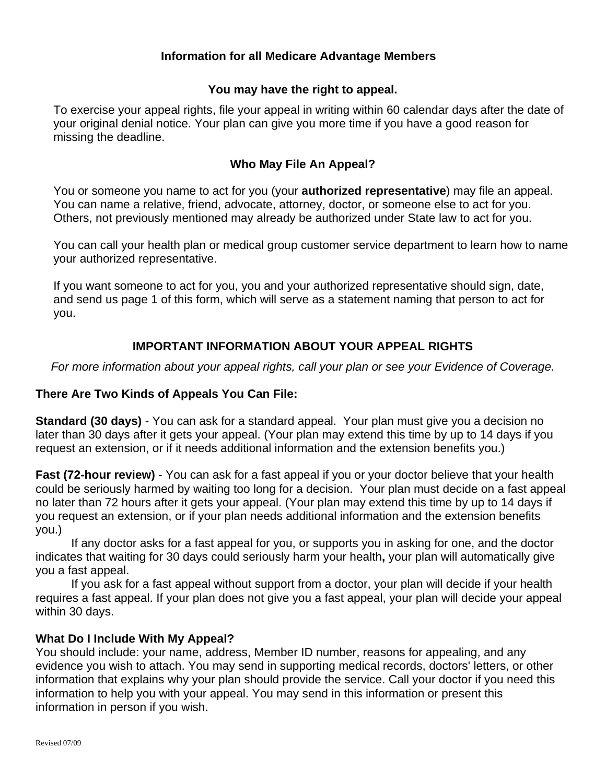## **Information for all Medicare Advantage Members**

## **You may have the right to appeal.**

To exercise your appeal rights, file your appeal in writing within 60 calendar days after the date of your original denial notice. Your plan can give you more time if you have a good reason for missing the deadline.

## **Who May File An Appeal?**

You or someone you name to act for you (your **authorized representative**) may file an appeal. You can name a relative, friend, advocate, attorney, doctor, or someone else to act for you. Others, not previously mentioned may already be authorized under State law to act for you.

You can call your health plan or medical group customer service department to learn how to name your authorized representative.

If you want someone to act for you, you and your authorized representative should sign, date, and send us page 1 of this form, which will serve as a statement naming that person to act for you.

# **IMPORTANT INFORMATION ABOUT YOUR APPEAL RIGHTS**

*For more information about your appeal rights, call your plan or see your Evidence of Coverage*.

## **There Are Two Kinds of Appeals You Can File:**

**Standard (30 days)** - You can ask for a standard appeal. Your plan must give you a decision no later than 30 days after it gets your appeal. (Your plan may extend this time by up to 14 days if you request an extension, or if it needs additional information and the extension benefits you.)

**Fast (72-hour review)** - You can ask for a fast appeal if you or your doctor believe that your health could be seriously harmed by waiting too long for a decision. Your plan must decide on a fast appeal no later than 72 hours after it gets your appeal. (Your plan may extend this time by up to 14 days if you request an extension, or if your plan needs additional information and the extension benefits you.)

 If any doctor asks for a fast appeal for you, or supports you in asking for one, and the doctor indicates that waiting for 30 days could seriously harm your health**,** your plan will automatically give you a fast appeal.

 If you ask for a fast appeal without support from a doctor, your plan will decide if your health requires a fast appeal. If your plan does not give you a fast appeal, your plan will decide your appeal within 30 days.

## **What Do I Include With My Appeal?**

You should include: your name, address, Member ID number, reasons for appealing, and any evidence you wish to attach. You may send in supporting medical records, doctors' letters, or other information that explains why your plan should provide the service. Call your doctor if you need this information to help you with your appeal. You may send in this information or present this information in person if you wish.